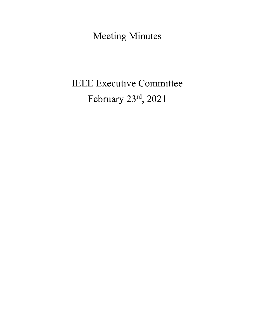Meeting Minutes

# IEEE Executive Committee February 23rd, 2021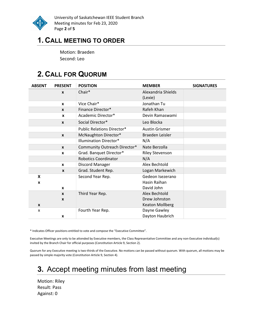

University of Saskatchewan IEEE Student Branch Meeting minutes for Feb 23, 2020 Page 2 of 5

### 1. CALL MEETING TO ORDER

Motion: Braeden Second: Leo

## 2. CALL FOR QUORUM

| <b>ABSENT</b> | <b>PRESENT</b>   | <b>POSITION</b>                   | <b>MEMBER</b>                 | <b>SIGNATURES</b> |
|---------------|------------------|-----------------------------------|-------------------------------|-------------------|
|               | $\boldsymbol{x}$ | Chair*                            | Alexandria Shields<br>(Lexie) |                   |
|               | $\boldsymbol{x}$ | Vice Chair*                       | Jonathan Tu                   |                   |
|               | $\mathbf{x}$     | Finance Director*                 | Rafeh Khan                    |                   |
|               | X                | Academic Director*                | Devin Ramaswami               |                   |
|               | $\mathbf{x}$     | Social Director*                  | Leo Blocka                    |                   |
|               |                  | <b>Public Relations Director*</b> | <b>Austin Grismer</b>         |                   |
|               | $\boldsymbol{x}$ | McNaughton Director*              | Braeden Leisler               |                   |
|               |                  | <b>Illumination Director*</b>     | N/A                           |                   |
|               | $\mathbf{x}$     | Community Outreach Director*      | Nate Berzolla                 |                   |
|               | $\mathbf{x}$     | Grad. Banquet Director*           | <b>Riley Stevenson</b>        |                   |
|               |                  | <b>Robotics Coordinator</b>       | N/A                           |                   |
|               | $\mathbf{x}$     | Discord Manager                   | Alex Bechtold                 |                   |
|               | $\mathbf{x}$     | Grad. Student Rep.                | Logan Markewich               |                   |
| X             |                  | Second Year Rep.                  | Gedeon Isezerano              |                   |
| X             |                  |                                   | Hasin Raihan                  |                   |
|               | $\mathbf{x}$     |                                   | David John                    |                   |
|               | $\mathbf{x}$     | Third Year Rep.                   | Alex Bechtold                 |                   |
|               | X                |                                   | Drew Johnston                 |                   |
| X             |                  |                                   | <b>Keaton Mollberg</b>        |                   |
| X             |                  | Fourth Year Rep.                  | Dayne Gawley                  |                   |
|               | X                |                                   | Dayton Haubrich               |                   |

\* Indicates Officer positions entitled to vote and compose the "Executive Committee".

Executive Meetings are only to be attended by Executive members, the Class Representative Committee and any non-Executive individual(s) invited by the Branch Chair for official purposes (Constitution Article 9, Section 2).

Quorum for any Executive meeting is two-thirds of the Executive. No motions can be passed without quorum. With quorum, all motions may be passed by simple majority vote (Constitution Article 9, Section 4).

# 3. Accept meeting minutes from last meeting

Motion: Riley Result: Pass Against: 0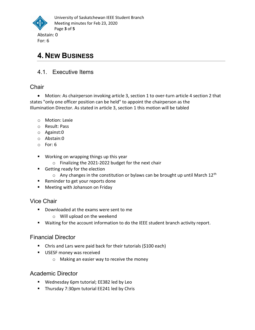

### 4. NEW BUSINESS

#### 4.1. Executive Items

#### **Chair**

 Motion: As chairperson invoking article 3, section 1 to over-turn article 4 section 2 that states "only one officer position can be held" to appoint the chairperson as the Illumination Director. As stated in article 3, section 1 this motion will be tabled

- o Motion: Lexie
- o Result: Pass
- o Against:0
- o Abstain:0
- o For: 6
- Working on wrapping things up this year
	- o Finalizing the 2021-2022 budget for the next chair
- **Getting ready for the election** 
	- $\circ$  Any changes in the constitution or bylaws can be brought up until March 12<sup>th</sup>
- Reminder to get your reports done
- **Meeting with Johanson on Friday**

#### Vice Chair

- Downloaded at the exams were sent to me
	- o Will upload on the weekend
- Waiting for the account information to do the IEEE student branch activity report.

#### Financial Director

- Chris and Lars were paid back for their tutorials (\$100 each)
- **USESF money was received** 
	- o Making an easier way to receive the money

#### Academic Director

- Wednesday 6pm tutorial; EE382 led by Leo
- **Thursday 7:30pm tutorial EE241 led by Chris**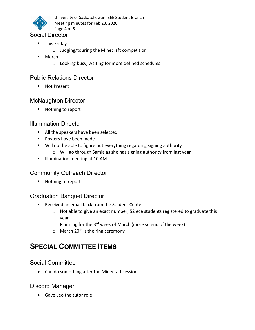

University of Saskatchewan IEEE Student Branch Meeting minutes for Feb 23, 2020 Page 4 of 5

#### Social Director

- **This Friday** 
	- o Judging/touring the Minecraft competition
- March
	- o Looking busy, waiting for more defined schedules

#### Public Relations Director

**Not Present** 

#### McNaughton Director

■ Nothing to report

#### Illumination Director

- All the speakers have been selected
- **Posters have been made**
- Will not be able to figure out everything regarding signing authority
	- o Will go through Samia as she has signing authority from last year
- **Illumination meeting at 10 AM**

#### Community Outreach Director

■ Nothing to report

#### Graduation Banquet Director

- Received an email back from the Student Center
	- o Not able to give an exact number, 52 ece students registered to graduate this year
	- $\circ$  Planning for the 3<sup>rd</sup> week of March (more so end of the week)
	- $\circ$  March 20<sup>th</sup> is the ring ceremony

### SPECIAL COMMITTEE ITEMS

#### Social Committee

Can do something after the Minecraft session

#### Discord Manager

Gave Leo the tutor role